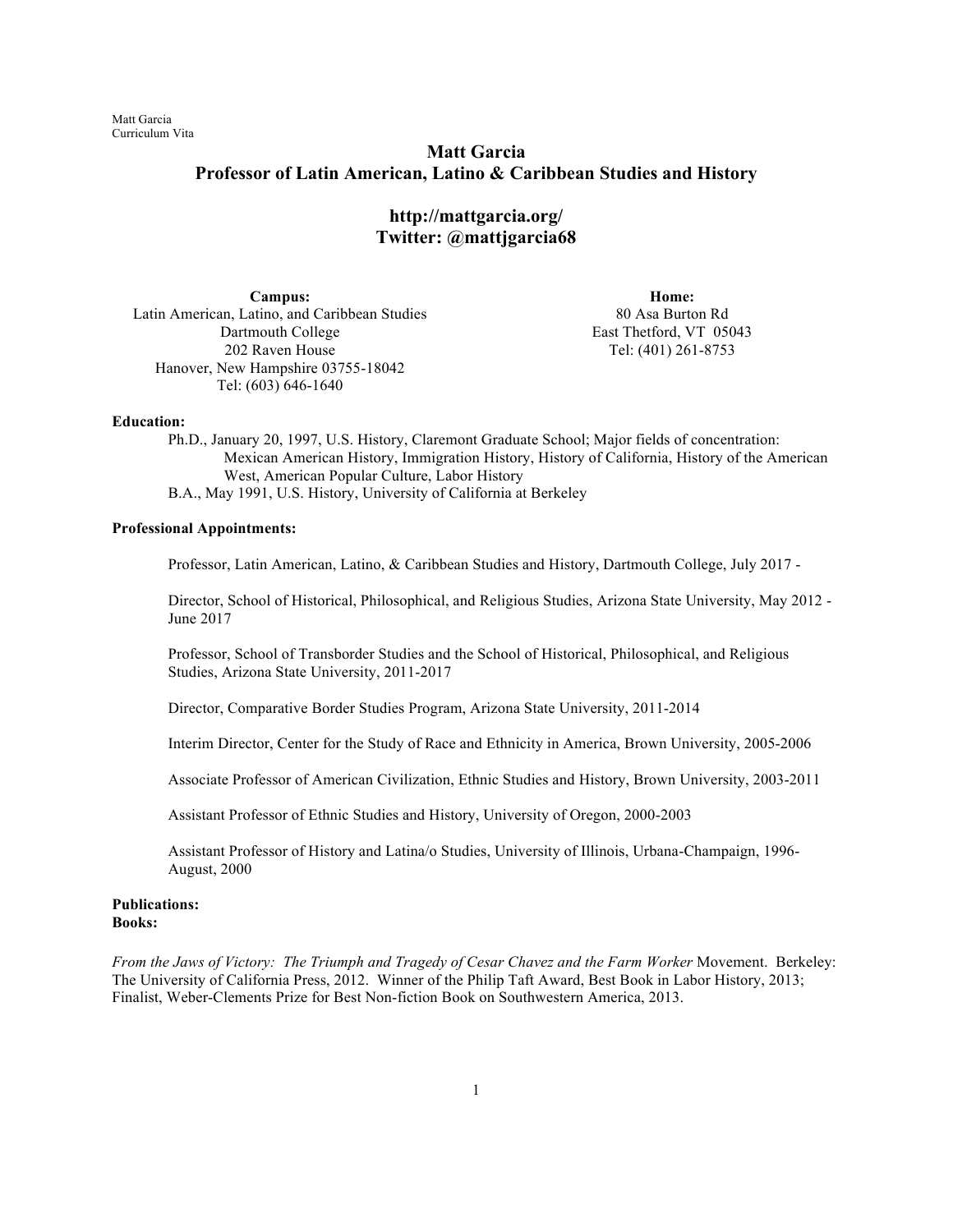# **Matt Garcia Professor of Latin American, Latino & Caribbean Studies and History**

**http://mattgarcia.org/ Twitter: @mattjgarcia68**

**Campus:** Latin American, Latino, and Caribbean Studies Dartmouth College 202 Raven House Hanover, New Hampshire 03755-18042 Tel: (603) 646-1640

**Home:** 80 Asa Burton Rd East Thetford, VT 05043 Tel: (401) 261-8753

#### **Education:**

Ph.D., January 20, 1997, U.S. History, Claremont Graduate School; Major fields of concentration: Mexican American History, Immigration History, History of California, History of the American West, American Popular Culture, Labor History B.A., May 1991, U.S. History, University of California at Berkeley

### **Professional Appointments:**

Professor, Latin American, Latino, & Caribbean Studies and History, Dartmouth College, July 2017 -

Director, School of Historical, Philosophical, and Religious Studies, Arizona State University, May 2012 - June 2017

Professor, School of Transborder Studies and the School of Historical, Philosophical, and Religious Studies, Arizona State University, 2011-2017

Director, Comparative Border Studies Program, Arizona State University, 2011-2014

Interim Director, Center for the Study of Race and Ethnicity in America, Brown University, 2005-2006

Associate Professor of American Civilization, Ethnic Studies and History, Brown University, 2003-2011

Assistant Professor of Ethnic Studies and History, University of Oregon, 2000-2003

Assistant Professor of History and Latina/o Studies, University of Illinois, Urbana-Champaign, 1996- August, 2000

### **Publications: Books:**

*From the Jaws of Victory: The Triumph and Tragedy of Cesar Chavez and the Farm Worker* Movement. Berkeley: The University of California Press, 2012. Winner of the Philip Taft Award, Best Book in Labor History, 2013; Finalist, Weber-Clements Prize for Best Non-fiction Book on Southwestern America, 2013.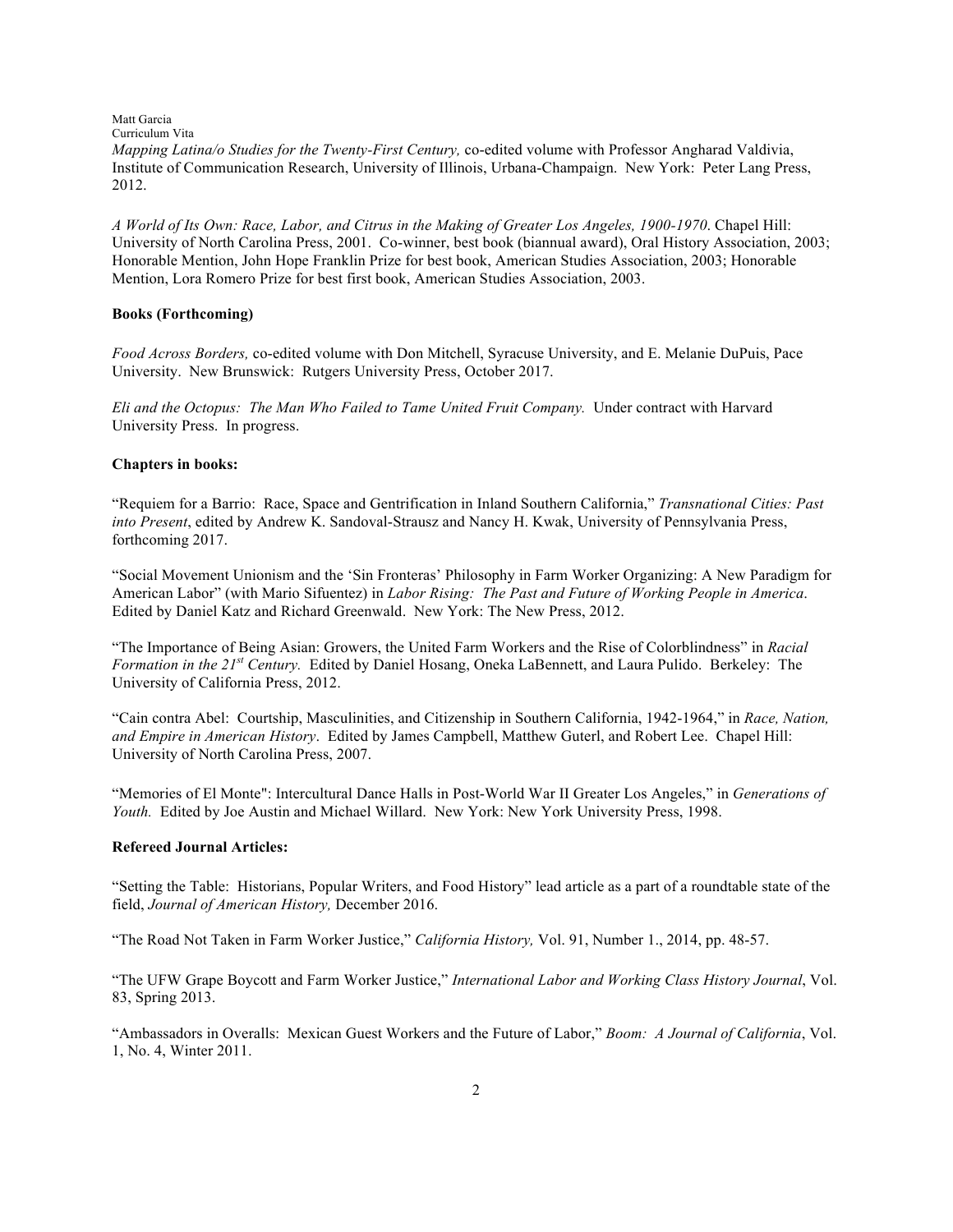Matt Garcia Curriculum Vita *Mapping Latina/o Studies for the Twenty-First Century, co-edited volume with Professor Angharad Valdivia,* Institute of Communication Research, University of Illinois, Urbana-Champaign. New York: Peter Lang Press, 2012.

*A World of Its Own: Race, Labor, and Citrus in the Making of Greater Los Angeles, 1900-1970*. Chapel Hill: University of North Carolina Press, 2001. Co-winner, best book (biannual award), Oral History Association, 2003; Honorable Mention, John Hope Franklin Prize for best book, American Studies Association, 2003; Honorable Mention, Lora Romero Prize for best first book, American Studies Association, 2003.

### **Books (Forthcoming)**

*Food Across Borders,* co-edited volume with Don Mitchell, Syracuse University, and E. Melanie DuPuis, Pace University. New Brunswick: Rutgers University Press, October 2017.

*Eli and the Octopus: The Man Who Failed to Tame United Fruit Company.* Under contract with Harvard University Press. In progress.

### **Chapters in books:**

"Requiem for a Barrio: Race, Space and Gentrification in Inland Southern California," *Transnational Cities: Past into Present*, edited by Andrew K. Sandoval-Strausz and Nancy H. Kwak, University of Pennsylvania Press, forthcoming 2017.

"Social Movement Unionism and the 'Sin Fronteras' Philosophy in Farm Worker Organizing: A New Paradigm for American Labor" (with Mario Sifuentez) in *Labor Rising: The Past and Future of Working People in America*. Edited by Daniel Katz and Richard Greenwald. New York: The New Press, 2012.

"The Importance of Being Asian: Growers, the United Farm Workers and the Rise of Colorblindness" in *Racial Formation in the 21st Century.* Edited by Daniel Hosang, Oneka LaBennett, and Laura Pulido. Berkeley: The University of California Press, 2012.

"Cain contra Abel: Courtship, Masculinities, and Citizenship in Southern California, 1942-1964," in *Race, Nation, and Empire in American History*. Edited by James Campbell, Matthew Guterl, and Robert Lee. Chapel Hill: University of North Carolina Press, 2007.

"Memories of El Monte": Intercultural Dance Halls in Post-World War II Greater Los Angeles," in *Generations of Youth.* Edited by Joe Austin and Michael Willard. New York: New York University Press, 1998.

### **Refereed Journal Articles:**

"Setting the Table: Historians, Popular Writers, and Food History" lead article as a part of a roundtable state of the field, *Journal of American History,* December 2016.

"The Road Not Taken in Farm Worker Justice," *California History,* Vol. 91, Number 1., 2014, pp. 48-57.

"The UFW Grape Boycott and Farm Worker Justice," *International Labor and Working Class History Journal*, Vol. 83, Spring 2013.

"Ambassadors in Overalls: Mexican Guest Workers and the Future of Labor," *Boom: A Journal of California*, Vol. 1, No. 4, Winter 2011.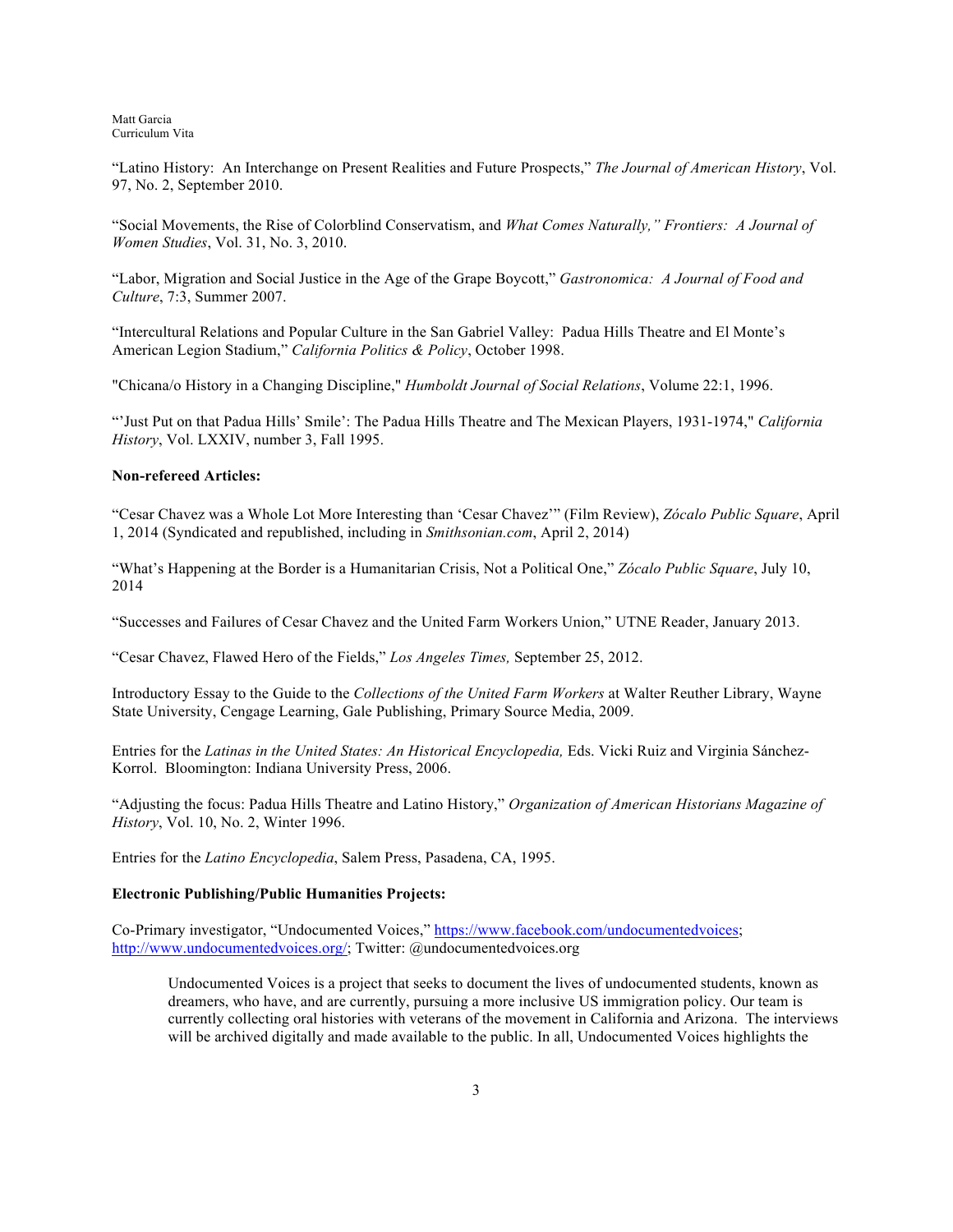"Latino History: An Interchange on Present Realities and Future Prospects," *The Journal of American History*, Vol. 97, No. 2, September 2010.

"Social Movements, the Rise of Colorblind Conservatism, and *What Comes Naturally," Frontiers: A Journal of Women Studies*, Vol. 31, No. 3, 2010.

"Labor, Migration and Social Justice in the Age of the Grape Boycott," *Gastronomica: A Journal of Food and Culture*, 7:3, Summer 2007.

"Intercultural Relations and Popular Culture in the San Gabriel Valley: Padua Hills Theatre and El Monte's American Legion Stadium," *California Politics & Policy*, October 1998.

"Chicana/o History in a Changing Discipline," *Humboldt Journal of Social Relations*, Volume 22:1, 1996.

"'Just Put on that Padua Hills' Smile': The Padua Hills Theatre and The Mexican Players, 1931-1974," *California History*, Vol. LXXIV, number 3, Fall 1995.

### **Non-refereed Articles:**

"Cesar Chavez was a Whole Lot More Interesting than 'Cesar Chavez'" (Film Review), *Zócalo Public Square*, April 1, 2014 (Syndicated and republished, including in *Smithsonian.com*, April 2, 2014)

"What's Happening at the Border is a Humanitarian Crisis, Not a Political One," *Zócalo Public Square*, July 10, 2014

"Successes and Failures of Cesar Chavez and the United Farm Workers Union," UTNE Reader, January 2013.

"Cesar Chavez, Flawed Hero of the Fields," *Los Angeles Times,* September 25, 2012.

Introductory Essay to the Guide to the *Collections of the United Farm Workers* at Walter Reuther Library, Wayne State University, Cengage Learning, Gale Publishing, Primary Source Media, 2009.

Entries for the *Latinas in the United States: An Historical Encyclopedia,* Eds. Vicki Ruiz and Virginia Sánchez-Korrol. Bloomington: Indiana University Press, 2006.

"Adjusting the focus: Padua Hills Theatre and Latino History," *Organization of American Historians Magazine of History*, Vol. 10, No. 2, Winter 1996.

Entries for the *Latino Encyclopedia*, Salem Press, Pasadena, CA, 1995.

## **Electronic Publishing/Public Humanities Projects:**

Co-Primary investigator, "Undocumented Voices," https://www.facebook.com/undocumentedvoices; http://www.undocumentedvoices.org/; Twitter: @undocumentedvoices.org

Undocumented Voices is a project that seeks to document the lives of undocumented students, known as dreamers, who have, and are currently, pursuing a more inclusive US immigration policy. Our team is currently collecting oral histories with veterans of the movement in California and Arizona. The interviews will be archived digitally and made available to the public. In all, Undocumented Voices highlights the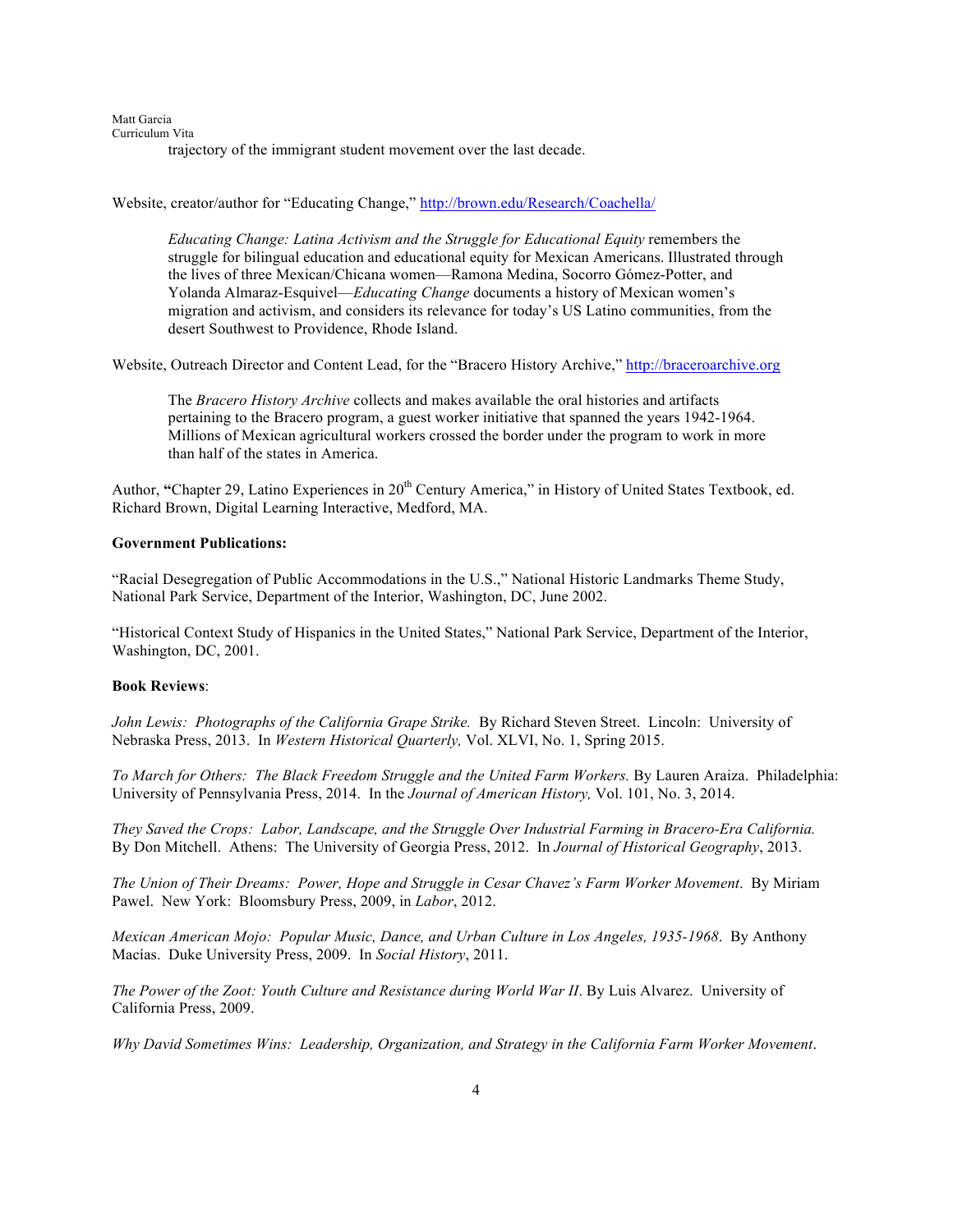Matt Garcia Curriculum Vita trajectory of the immigrant student movement over the last decade.

Website, creator/author for "Educating Change," http://brown.edu/Research/Coachella/

*Educating Change: Latina Activism and the Struggle for Educational Equity* remembers the struggle for bilingual education and educational equity for Mexican Americans. Illustrated through the lives of three Mexican/Chicana women—Ramona Medina, Socorro Gómez-Potter, and Yolanda Almaraz-Esquivel—*Educating Change* documents a history of Mexican women's migration and activism, and considers its relevance for today's US Latino communities, from the desert Southwest to Providence, Rhode Island.

Website, Outreach Director and Content Lead, for the "Bracero History Archive," http://braceroarchive.org

The *Bracero History Archive* collects and makes available the oral histories and artifacts pertaining to the Bracero program, a guest worker initiative that spanned the years 1942-1964. Millions of Mexican agricultural workers crossed the border under the program to work in more than half of the states in America.

Author, "Chapter 29, Latino Experiences in 20<sup>th</sup> Century America," in History of United States Textbook, ed. Richard Brown, Digital Learning Interactive, Medford, MA.

### **Government Publications:**

"Racial Desegregation of Public Accommodations in the U.S.," National Historic Landmarks Theme Study, National Park Service, Department of the Interior, Washington, DC, June 2002.

"Historical Context Study of Hispanics in the United States," National Park Service, Department of the Interior, Washington, DC, 2001.

### **Book Reviews**:

*John Lewis: Photographs of the California Grape Strike.* By Richard Steven Street. Lincoln: University of Nebraska Press, 2013. In *Western Historical Quarterly,* Vol. XLVI, No. 1, Spring 2015.

*To March for Others: The Black Freedom Struggle and the United Farm Workers.* By Lauren Araiza. Philadelphia: University of Pennsylvania Press, 2014. In the *Journal of American History,* Vol. 101, No. 3, 2014.

*They Saved the Crops: Labor, Landscape, and the Struggle Over Industrial Farming in Bracero-Era California.* By Don Mitchell. Athens: The University of Georgia Press, 2012. In *Journal of Historical Geography*, 2013.

*The Union of Their Dreams: Power, Hope and Struggle in Cesar Chavez's Farm Worker Movement*. By Miriam Pawel. New York: Bloomsbury Press, 2009, in *Labor*, 2012.

*Mexican American Mojo: Popular Music, Dance, and Urban Culture in Los Angeles, 1935-1968*. By Anthony Macías. Duke University Press, 2009. In *Social History*, 2011.

*The Power of the Zoot: Youth Culture and Resistance during World War II*. By Luis Alvarez. University of California Press, 2009.

*Why David Sometimes Wins: Leadership, Organization, and Strategy in the California Farm Worker Movement*.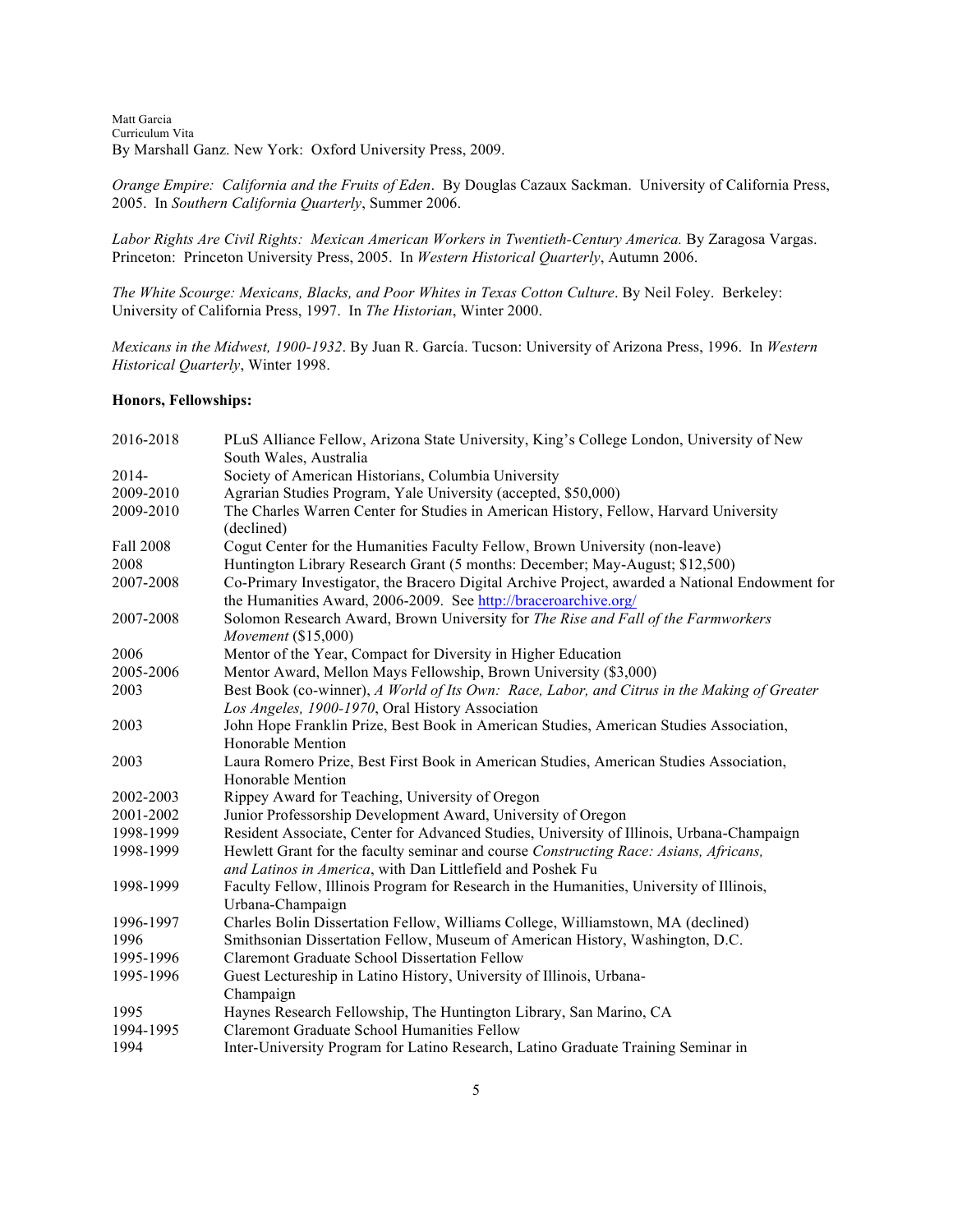Matt Garcia Curriculum Vita By Marshall Ganz. New York: Oxford University Press, 2009.

*Orange Empire: California and the Fruits of Eden*. By Douglas Cazaux Sackman. University of California Press, 2005. In *Southern California Quarterly*, Summer 2006.

*Labor Rights Are Civil Rights: Mexican American Workers in Twentieth-Century America.* By Zaragosa Vargas. Princeton: Princeton University Press, 2005. In *Western Historical Quarterly*, Autumn 2006.

*The White Scourge: Mexicans, Blacks, and Poor Whites in Texas Cotton Culture*. By Neil Foley. Berkeley: University of California Press, 1997. In *The Historian*, Winter 2000.

*Mexicans in the Midwest, 1900-1932*. By Juan R. García. Tucson: University of Arizona Press, 1996. In *Western Historical Quarterly*, Winter 1998.

### **Honors, Fellowships:**

| 2016-2018        | PLuS Alliance Fellow, Arizona State University, King's College London, University of New       |
|------------------|------------------------------------------------------------------------------------------------|
|                  | South Wales, Australia                                                                         |
| 2014-            | Society of American Historians, Columbia University                                            |
| 2009-2010        | Agrarian Studies Program, Yale University (accepted, \$50,000)                                 |
| 2009-2010        | The Charles Warren Center for Studies in American History, Fellow, Harvard University          |
|                  | (declined)                                                                                     |
| <b>Fall 2008</b> | Cogut Center for the Humanities Faculty Fellow, Brown University (non-leave)                   |
| 2008             | Huntington Library Research Grant (5 months: December; May-August; \$12,500)                   |
| 2007-2008        | Co-Primary Investigator, the Bracero Digital Archive Project, awarded a National Endowment for |
|                  | the Humanities Award, 2006-2009. See http://braceroarchive.org/                                |
| 2007-2008        | Solomon Research Award, Brown University for The Rise and Fall of the Farmworkers              |
|                  | Movement (\$15,000)                                                                            |
| 2006             | Mentor of the Year, Compact for Diversity in Higher Education                                  |
| 2005-2006        | Mentor Award, Mellon Mays Fellowship, Brown University (\$3,000)                               |
| 2003             | Best Book (co-winner), A World of Its Own: Race, Labor, and Citrus in the Making of Greater    |
|                  | Los Angeles, 1900-1970, Oral History Association                                               |
| 2003             | John Hope Franklin Prize, Best Book in American Studies, American Studies Association,         |
|                  | Honorable Mention                                                                              |
| 2003             | Laura Romero Prize, Best First Book in American Studies, American Studies Association,         |
|                  | Honorable Mention                                                                              |
| 2002-2003        | Rippey Award for Teaching, University of Oregon                                                |
| 2001-2002        | Junior Professorship Development Award, University of Oregon                                   |
| 1998-1999        | Resident Associate, Center for Advanced Studies, University of Illinois, Urbana-Champaign      |
| 1998-1999        | Hewlett Grant for the faculty seminar and course Constructing Race: Asians, Africans,          |
|                  | and Latinos in America, with Dan Littlefield and Poshek Fu                                     |
| 1998-1999        | Faculty Fellow, Illinois Program for Research in the Humanities, University of Illinois,       |
|                  | Urbana-Champaign                                                                               |
| 1996-1997        | Charles Bolin Dissertation Fellow, Williams College, Williamstown, MA (declined)               |
| 1996             | Smithsonian Dissertation Fellow, Museum of American History, Washington, D.C.                  |
| 1995-1996        | <b>Claremont Graduate School Dissertation Fellow</b>                                           |
| 1995-1996        | Guest Lectureship in Latino History, University of Illinois, Urbana-                           |
|                  | Champaign                                                                                      |
| 1995             | Haynes Research Fellowship, The Huntington Library, San Marino, CA                             |
| 1994-1995        | <b>Claremont Graduate School Humanities Fellow</b>                                             |
| 1994             | Inter-University Program for Latino Research, Latino Graduate Training Seminar in              |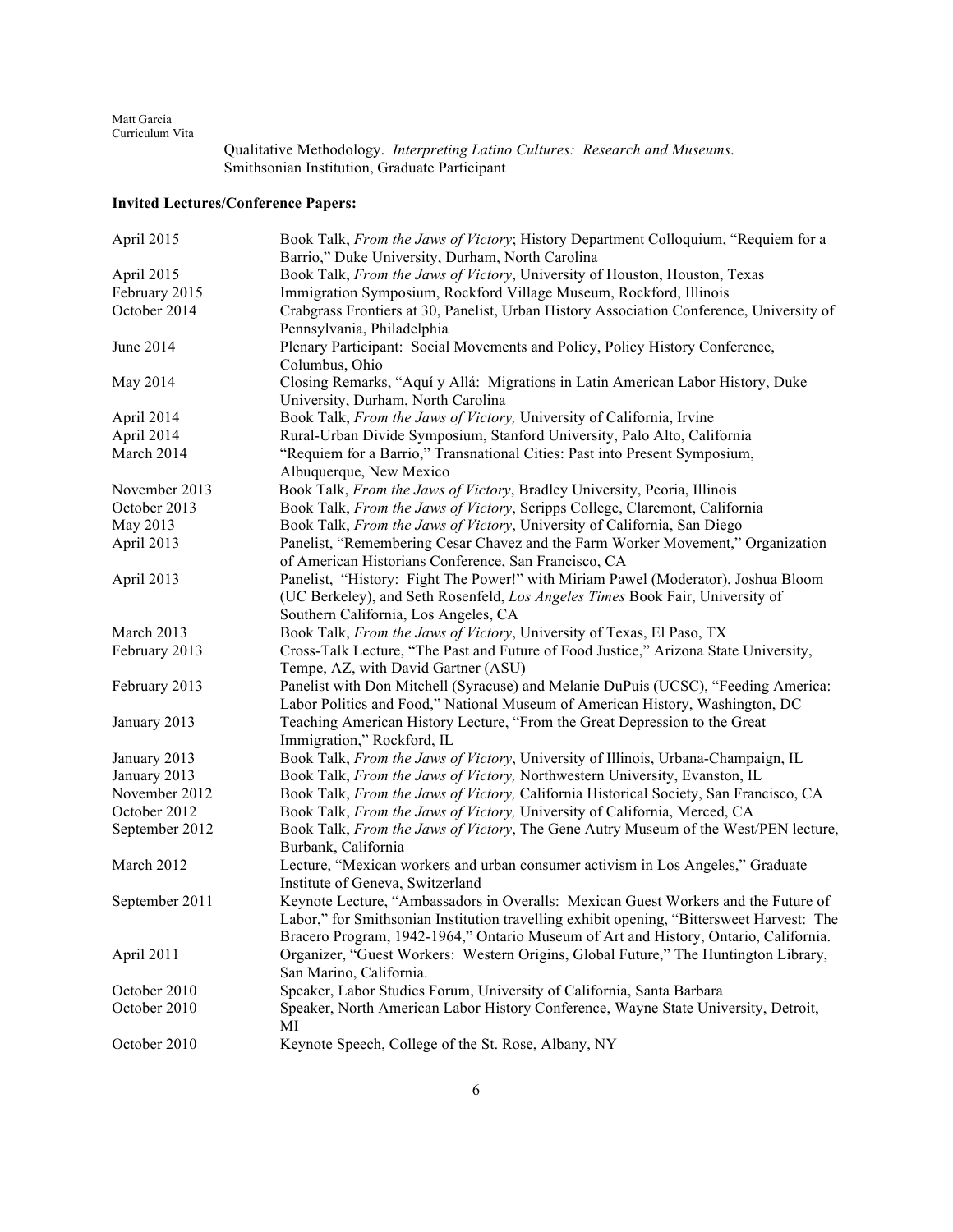> Qualitative Methodology. *Interpreting Latino Cultures: Research and Museums*. Smithsonian Institution, Graduate Participant

# **Invited Lectures/Conference Papers:**

| April 2015     | Book Talk, From the Jaws of Victory; History Department Colloquium, "Requiem for a             |
|----------------|------------------------------------------------------------------------------------------------|
|                | Barrio," Duke University, Durham, North Carolina                                               |
| April 2015     | Book Talk, From the Jaws of Victory, University of Houston, Houston, Texas                     |
| February 2015  | Immigration Symposium, Rockford Village Museum, Rockford, Illinois                             |
| October 2014   | Crabgrass Frontiers at 30, Panelist, Urban History Association Conference, University of       |
|                | Pennsylvania, Philadelphia                                                                     |
| June 2014      | Plenary Participant: Social Movements and Policy, Policy History Conference,<br>Columbus, Ohio |
| May 2014       | Closing Remarks, "Aquí y Allá: Migrations in Latin American Labor History, Duke                |
|                | University, Durham, North Carolina                                                             |
| April 2014     | Book Talk, From the Jaws of Victory, University of California, Irvine                          |
| April 2014     | Rural-Urban Divide Symposium, Stanford University, Palo Alto, California                       |
| March 2014     | "Requiem for a Barrio," Transnational Cities: Past into Present Symposium,                     |
|                | Albuquerque, New Mexico                                                                        |
| November 2013  | Book Talk, From the Jaws of Victory, Bradley University, Peoria, Illinois                      |
| October 2013   | Book Talk, From the Jaws of Victory, Scripps College, Claremont, California                    |
| May 2013       | Book Talk, From the Jaws of Victory, University of California, San Diego                       |
| April 2013     | Panelist, "Remembering Cesar Chavez and the Farm Worker Movement," Organization                |
|                | of American Historians Conference, San Francisco, CA                                           |
| April 2013     | Panelist, "History: Fight The Power!" with Miriam Pawel (Moderator), Joshua Bloom              |
|                | (UC Berkeley), and Seth Rosenfeld, Los Angeles Times Book Fair, University of                  |
|                | Southern California, Los Angeles, CA                                                           |
| March 2013     | Book Talk, From the Jaws of Victory, University of Texas, El Paso, TX                          |
| February 2013  | Cross-Talk Lecture, "The Past and Future of Food Justice," Arizona State University,           |
|                | Tempe, AZ, with David Gartner (ASU)                                                            |
| February 2013  | Panelist with Don Mitchell (Syracuse) and Melanie DuPuis (UCSC), "Feeding America:             |
|                | Labor Politics and Food," National Museum of American History, Washington, DC                  |
| January 2013   | Teaching American History Lecture, "From the Great Depression to the Great                     |
|                | Immigration," Rockford, IL                                                                     |
| January 2013   | Book Talk, From the Jaws of Victory, University of Illinois, Urbana-Champaign, IL              |
| January 2013   | Book Talk, From the Jaws of Victory, Northwestern University, Evanston, IL                     |
| November 2012  | Book Talk, From the Jaws of Victory, California Historical Society, San Francisco, CA          |
| October 2012   | Book Talk, From the Jaws of Victory, University of California, Merced, CA                      |
| September 2012 | Book Talk, From the Jaws of Victory, The Gene Autry Museum of the West/PEN lecture,            |
|                | Burbank, California                                                                            |
| March 2012     | Lecture, "Mexican workers and urban consumer activism in Los Angeles," Graduate                |
|                | Institute of Geneva, Switzerland                                                               |
| September 2011 | Keynote Lecture, "Ambassadors in Overalls: Mexican Guest Workers and the Future of             |
|                | Labor," for Smithsonian Institution travelling exhibit opening, "Bittersweet Harvest: The      |
|                | Bracero Program, 1942-1964," Ontario Museum of Art and History, Ontario, California.           |
| April 2011     | Organizer, "Guest Workers: Western Origins, Global Future," The Huntington Library,            |
|                | San Marino, California.                                                                        |
| October 2010   | Speaker, Labor Studies Forum, University of California, Santa Barbara                          |
| October 2010   | Speaker, North American Labor History Conference, Wayne State University, Detroit,<br>МI       |
| October 2010   | Keynote Speech, College of the St. Rose, Albany, NY                                            |
|                |                                                                                                |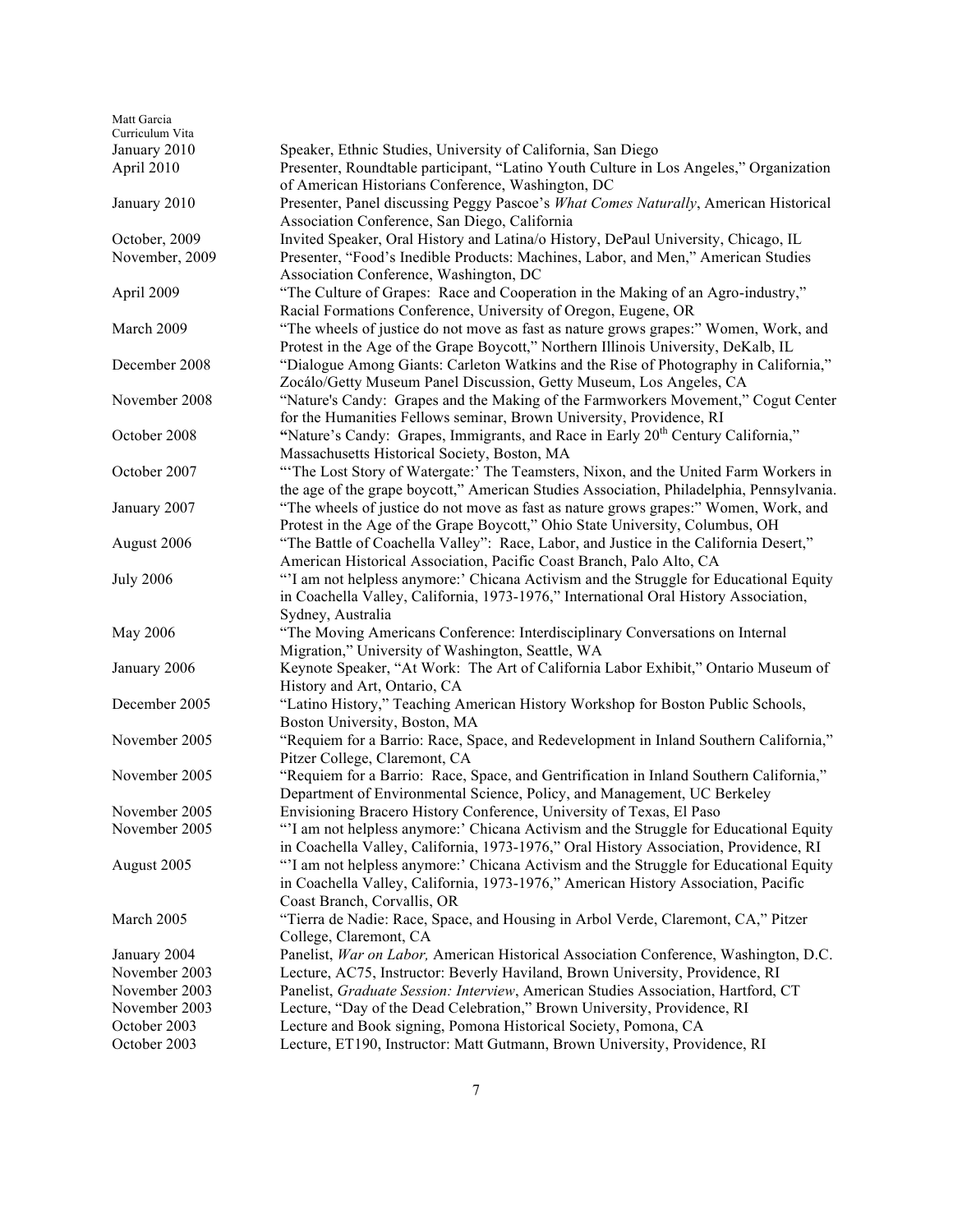| Matt Garcia<br>Curriculum Vita  |                                                                                                                                                                                                                                                   |
|---------------------------------|---------------------------------------------------------------------------------------------------------------------------------------------------------------------------------------------------------------------------------------------------|
| January 2010<br>April 2010      | Speaker, Ethnic Studies, University of California, San Diego<br>Presenter, Roundtable participant, "Latino Youth Culture in Los Angeles," Organization                                                                                            |
| January 2010                    | of American Historians Conference, Washington, DC<br>Presenter, Panel discussing Peggy Pascoe's What Comes Naturally, American Historical<br>Association Conference, San Diego, California                                                        |
| October, 2009<br>November, 2009 | Invited Speaker, Oral History and Latina/o History, DePaul University, Chicago, IL<br>Presenter, "Food's Inedible Products: Machines, Labor, and Men," American Studies                                                                           |
| April 2009                      | Association Conference, Washington, DC<br>"The Culture of Grapes: Race and Cooperation in the Making of an Agro-industry,"                                                                                                                        |
| March 2009                      | Racial Formations Conference, University of Oregon, Eugene, OR<br>"The wheels of justice do not move as fast as nature grows grapes:" Women, Work, and                                                                                            |
| December 2008                   | Protest in the Age of the Grape Boycott," Northern Illinois University, DeKalb, IL<br>"Dialogue Among Giants: Carleton Watkins and the Rise of Photography in California,"<br>Zocálo/Getty Museum Panel Discussion, Getty Museum, Los Angeles, CA |
| November 2008                   | "Nature's Candy: Grapes and the Making of the Farmworkers Movement," Cogut Center<br>for the Humanities Fellows seminar, Brown University, Providence, RI                                                                                         |
| October 2008                    | "Nature's Candy: Grapes, Immigrants, and Race in Early 20 <sup>th</sup> Century California,"<br>Massachusetts Historical Society, Boston, MA                                                                                                      |
| October 2007                    | "The Lost Story of Watergate:' The Teamsters, Nixon, and the United Farm Workers in<br>the age of the grape boycott," American Studies Association, Philadelphia, Pennsylvania.                                                                   |
| January 2007                    | "The wheels of justice do not move as fast as nature grows grapes:" Women, Work, and<br>Protest in the Age of the Grape Boycott," Ohio State University, Columbus, OH                                                                             |
| August 2006                     | "The Battle of Coachella Valley": Race, Labor, and Justice in the California Desert,"<br>American Historical Association, Pacific Coast Branch, Palo Alto, CA                                                                                     |
| <b>July 2006</b>                | "I am not helpless anymore:' Chicana Activism and the Struggle for Educational Equity<br>in Coachella Valley, California, 1973-1976," International Oral History Association,                                                                     |
| May 2006                        | Sydney, Australia<br>"The Moving Americans Conference: Interdisciplinary Conversations on Internal<br>Migration," University of Washington, Seattle, WA                                                                                           |
| January 2006                    | Keynote Speaker, "At Work: The Art of California Labor Exhibit," Ontario Museum of<br>History and Art, Ontario, CA                                                                                                                                |
| December 2005                   | "Latino History," Teaching American History Workshop for Boston Public Schools,<br>Boston University, Boston, MA                                                                                                                                  |
| November 2005                   | "Requiem for a Barrio: Race, Space, and Redevelopment in Inland Southern California,"<br>Pitzer College, Claremont, CA                                                                                                                            |
| November 2005                   | "Requiem for a Barrio: Race, Space, and Gentrification in Inland Southern California,"<br>Department of Environmental Science, Policy, and Management, UC Berkeley                                                                                |
| November 2005                   | Envisioning Bracero History Conference, University of Texas, El Paso                                                                                                                                                                              |
| November 2005                   | "'I am not helpless anymore:' Chicana Activism and the Struggle for Educational Equity<br>in Coachella Valley, California, 1973-1976," Oral History Association, Providence, RI                                                                   |
| August 2005                     | "I am not helpless anymore:' Chicana Activism and the Struggle for Educational Equity<br>in Coachella Valley, California, 1973-1976," American History Association, Pacific<br>Coast Branch, Corvallis, OR                                        |
| March 2005                      | "Tierra de Nadie: Race, Space, and Housing in Arbol Verde, Claremont, CA," Pitzer<br>College, Claremont, CA                                                                                                                                       |
| January 2004                    | Panelist, <i>War on Labor</i> , American Historical Association Conference, Washington, D.C.                                                                                                                                                      |
| November 2003                   | Lecture, AC75, Instructor: Beverly Haviland, Brown University, Providence, RI                                                                                                                                                                     |
| November 2003                   | Panelist, Graduate Session: Interview, American Studies Association, Hartford, CT                                                                                                                                                                 |
| November 2003                   | Lecture, "Day of the Dead Celebration," Brown University, Providence, RI                                                                                                                                                                          |
| October 2003                    | Lecture and Book signing, Pomona Historical Society, Pomona, CA                                                                                                                                                                                   |
| October 2003                    | Lecture, ET190, Instructor: Matt Gutmann, Brown University, Providence, RI                                                                                                                                                                        |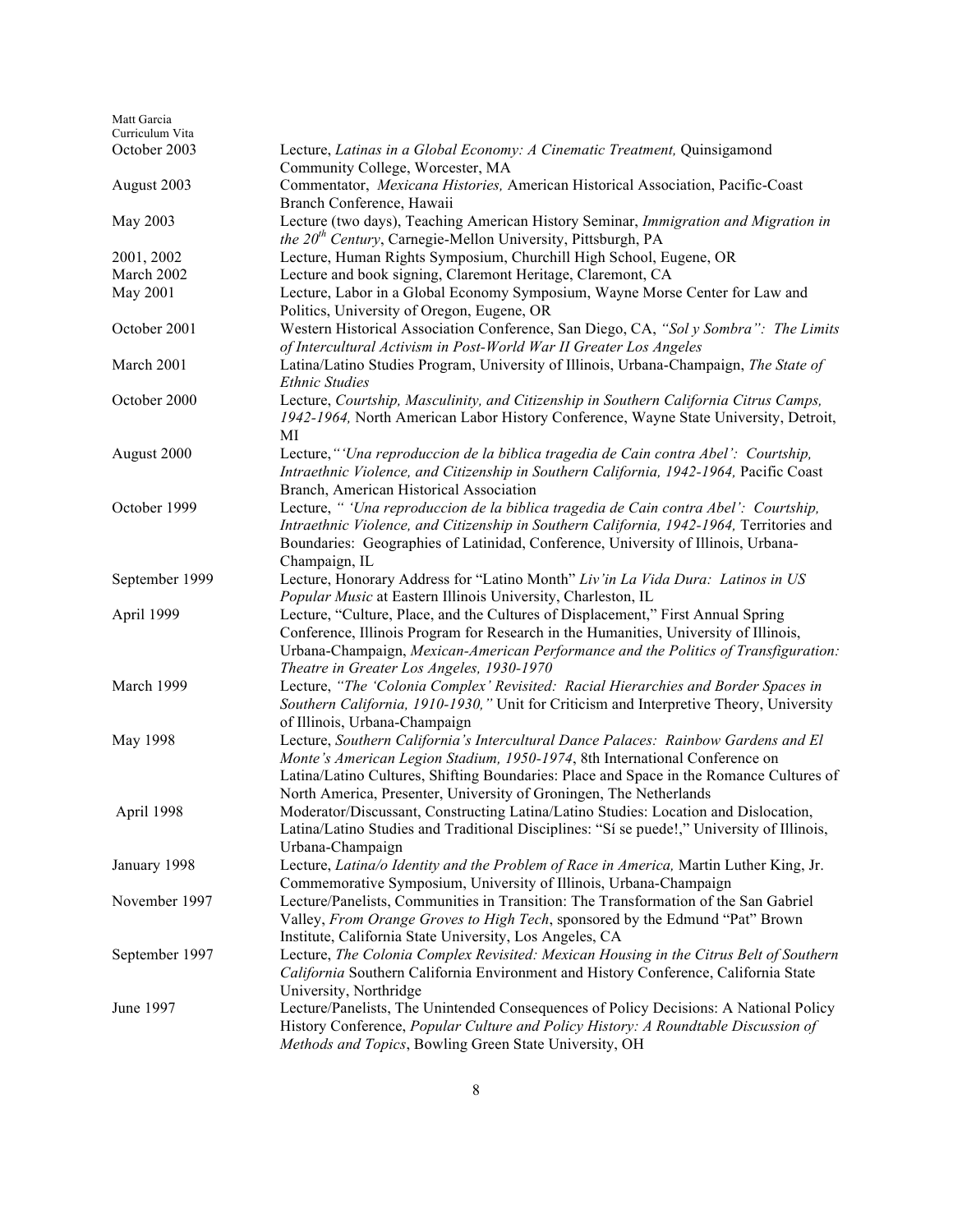| Matt Garcia                     |                                                                                                                                                  |
|---------------------------------|--------------------------------------------------------------------------------------------------------------------------------------------------|
| Curriculum Vita<br>October 2003 | Lecture, Latinas in a Global Economy: A Cinematic Treatment, Quinsigamond                                                                        |
|                                 | Community College, Worcester, MA                                                                                                                 |
| August 2003                     | Commentator, Mexicana Histories, American Historical Association, Pacific-Coast                                                                  |
|                                 | Branch Conference, Hawaii                                                                                                                        |
| May 2003                        | Lecture (two days), Teaching American History Seminar, Immigration and Migration in                                                              |
|                                 | <i>the 20<sup>th</sup> Century</i> , Carnegie-Mellon University, Pittsburgh, PA                                                                  |
| 2001, 2002                      | Lecture, Human Rights Symposium, Churchill High School, Eugene, OR                                                                               |
| March 2002                      | Lecture and book signing, Claremont Heritage, Claremont, CA                                                                                      |
| May 2001                        | Lecture, Labor in a Global Economy Symposium, Wayne Morse Center for Law and                                                                     |
|                                 | Politics, University of Oregon, Eugene, OR                                                                                                       |
| October 2001                    | Western Historical Association Conference, San Diego, CA, "Sol y Sombra": The Limits                                                             |
|                                 | of Intercultural Activism in Post-World War II Greater Los Angeles                                                                               |
| March 2001                      | Latina/Latino Studies Program, University of Illinois, Urbana-Champaign, The State of                                                            |
|                                 | <b>Ethnic Studies</b>                                                                                                                            |
| October 2000                    | Lecture, Courtship, Masculinity, and Citizenship in Southern California Citrus Camps,                                                            |
|                                 | 1942-1964, North American Labor History Conference, Wayne State University, Detroit,                                                             |
|                                 | МI                                                                                                                                               |
| August 2000                     | Lecture, "'Una reproduccion de la biblica tragedia de Cain contra Abel': Courtship,                                                              |
|                                 | Intraethnic Violence, and Citizenship in Southern California, 1942-1964, Pacific Coast                                                           |
|                                 | Branch, American Historical Association                                                                                                          |
| October 1999                    | Lecture, " 'Una reproduccion de la biblica tragedia de Cain contra Abel': Courtship,                                                             |
|                                 | Intraethnic Violence, and Citizenship in Southern California, 1942-1964, Territories and                                                         |
|                                 | Boundaries: Geographies of Latinidad, Conference, University of Illinois, Urbana-                                                                |
|                                 | Champaign, IL                                                                                                                                    |
| September 1999                  | Lecture, Honorary Address for "Latino Month" Liv'in La Vida Dura: Latinos in US                                                                  |
| April 1999                      | Popular Music at Eastern Illinois University, Charleston, IL<br>Lecture, "Culture, Place, and the Cultures of Displacement," First Annual Spring |
|                                 | Conference, Illinois Program for Research in the Humanities, University of Illinois,                                                             |
|                                 | Urbana-Champaign, Mexican-American Performance and the Politics of Transfiguration:                                                              |
|                                 | Theatre in Greater Los Angeles, 1930-1970                                                                                                        |
| March 1999                      | Lecture, "The 'Colonia Complex' Revisited: Racial Hierarchies and Border Spaces in                                                               |
|                                 | Southern California, 1910-1930," Unit for Criticism and Interpretive Theory, University                                                          |
|                                 | of Illinois, Urbana-Champaign                                                                                                                    |
| May 1998                        | Lecture, Southern California's Intercultural Dance Palaces: Rainbow Gardens and El                                                               |
|                                 | Monte's American Legion Stadium, 1950-1974, 8th International Conference on                                                                      |
|                                 | Latina/Latino Cultures, Shifting Boundaries: Place and Space in the Romance Cultures of                                                          |
|                                 | North America, Presenter, University of Groningen, The Netherlands                                                                               |
| April 1998                      | Moderator/Discussant, Constructing Latina/Latino Studies: Location and Dislocation,                                                              |
|                                 | Latina/Latino Studies and Traditional Disciplines: "Si se puede!," University of Illinois,                                                       |
|                                 | Urbana-Champaign                                                                                                                                 |
| January 1998                    | Lecture, Latina/o Identity and the Problem of Race in America, Martin Luther King, Jr.                                                           |
|                                 | Commemorative Symposium, University of Illinois, Urbana-Champaign                                                                                |
| November 1997                   | Lecture/Panelists, Communities in Transition: The Transformation of the San Gabriel                                                              |
|                                 | Valley, From Orange Groves to High Tech, sponsored by the Edmund "Pat" Brown                                                                     |
|                                 | Institute, California State University, Los Angeles, CA                                                                                          |
| September 1997                  | Lecture, The Colonia Complex Revisited: Mexican Housing in the Citrus Belt of Southern                                                           |
|                                 | California Southern California Environment and History Conference, California State                                                              |
|                                 | University, Northridge                                                                                                                           |
| June 1997                       | Lecture/Panelists, The Unintended Consequences of Policy Decisions: A National Policy                                                            |
|                                 | History Conference, Popular Culture and Policy History: A Roundtable Discussion of                                                               |
|                                 | Methods and Topics, Bowling Green State University, OH                                                                                           |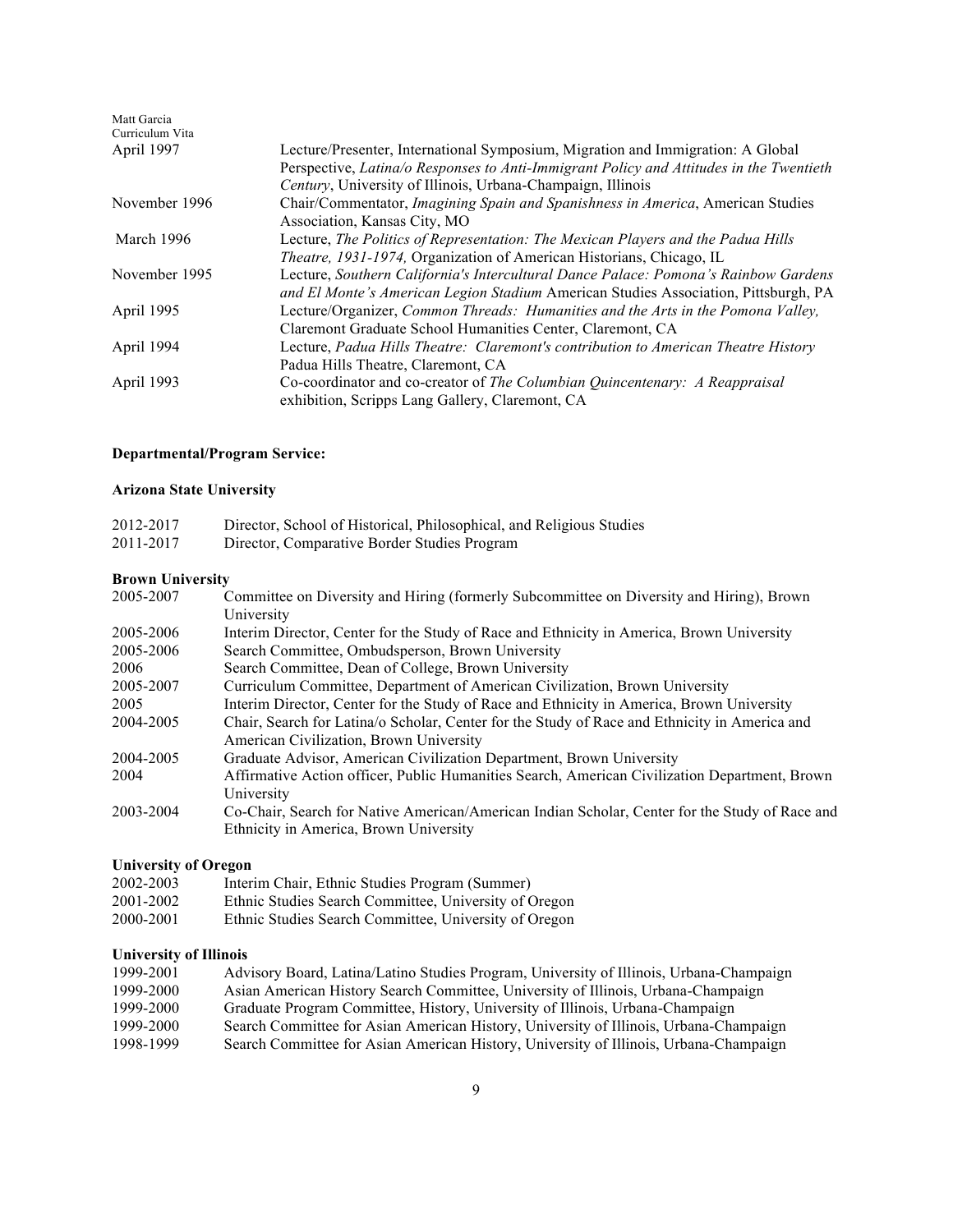| Matt Garcia<br>Curriculum Vita |                                                                                         |
|--------------------------------|-----------------------------------------------------------------------------------------|
| April 1997                     | Lecture/Presenter, International Symposium, Migration and Immigration: A Global         |
|                                | Perspective, Latina/o Responses to Anti-Immigrant Policy and Attitudes in the Twentieth |
|                                | Century, University of Illinois, Urbana-Champaign, Illinois                             |
| November 1996                  | Chair/Commentator, <i>Imagining Spain and Spanishness in America</i> , American Studies |
|                                | Association, Kansas City, MO                                                            |
| March 1996                     | Lecture, The Politics of Representation: The Mexican Players and the Padua Hills        |
|                                | <i>Theatre, 1931-1974, Organization of American Historians, Chicago, IL</i>             |
| November 1995                  | Lecture, Southern California's Intercultural Dance Palace: Pomona's Rainbow Gardens     |
|                                | and El Monte's American Legion Stadium American Studies Association, Pittsburgh, PA     |
| April 1995                     | Lecture/Organizer, Common Threads: Humanities and the Arts in the Pomona Valley,        |
|                                | Claremont Graduate School Humanities Center, Claremont, CA                              |
| April 1994                     | Lecture, Padua Hills Theatre: Claremont's contribution to American Theatre History      |
|                                | Padua Hills Theatre, Claremont, CA                                                      |
| April 1993                     | Co-coordinator and co-creator of The Columbian Quincentenary: A Reappraisal             |
|                                | exhibition, Scripps Lang Gallery, Claremont, CA                                         |

# **Departmental/Program Service:**

# **Arizona State University**

| 2012-2017 | Director, School of Historical, Philosophical, and Religious Studies |
|-----------|----------------------------------------------------------------------|
| 2011-2017 | Director, Comparative Border Studies Program                         |

# **Brown University**

| Committee on Diversity and Hiring (formerly Subcommittee on Diversity and Hiring), Brown       |
|------------------------------------------------------------------------------------------------|
| University                                                                                     |
| Interim Director, Center for the Study of Race and Ethnicity in America, Brown University      |
| Search Committee, Ombudsperson, Brown University                                               |
| Search Committee, Dean of College, Brown University                                            |
| Curriculum Committee, Department of American Civilization, Brown University                    |
| Interim Director, Center for the Study of Race and Ethnicity in America, Brown University      |
| Chair, Search for Latina/o Scholar, Center for the Study of Race and Ethnicity in America and  |
| American Civilization, Brown University                                                        |
| Graduate Advisor, American Civilization Department, Brown University                           |
| Affirmative Action officer, Public Humanities Search, American Civilization Department, Brown  |
| University                                                                                     |
| Co-Chair, Search for Native American/American Indian Scholar, Center for the Study of Race and |
| Ethnicity in America, Brown University                                                         |
|                                                                                                |

# **University of Oregon**

| 2002-2003 | Interim Chair, Ethnic Studies Program (Summer)        |
|-----------|-------------------------------------------------------|
| 2001-2002 | Ethnic Studies Search Committee, University of Oregon |
| 2000-2001 | Ethnic Studies Search Committee, University of Oregon |

# **University of Illinois**

| 1999-2001 | Advisory Board, Latina/Latino Studies Program, University of Illinois, Urbana-Champaign |
|-----------|-----------------------------------------------------------------------------------------|
| 1999-2000 | Asian American History Search Committee, University of Illinois, Urbana-Champaign       |
| 1999-2000 | Graduate Program Committee, History, University of Illinois, Urbana-Champaign           |
| 1999-2000 | Search Committee for Asian American History, University of Illinois, Urbana-Champaign   |
| 1998-1999 | Search Committee for Asian American History, University of Illinois, Urbana-Champaign   |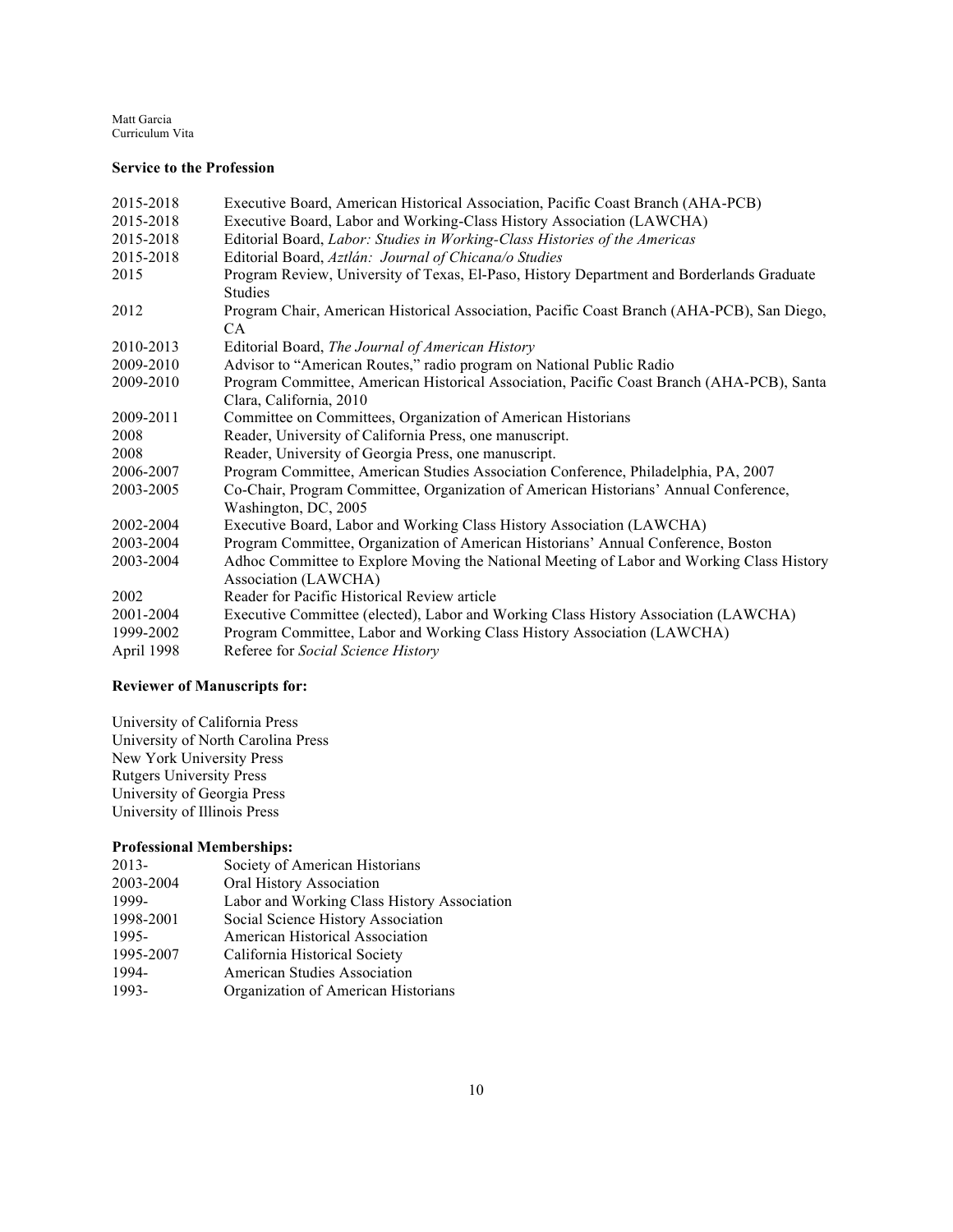### **Service to the Profession**

| 2015-2018  | Executive Board, American Historical Association, Pacific Coast Branch (AHA-PCB)           |
|------------|--------------------------------------------------------------------------------------------|
| 2015-2018  | Executive Board, Labor and Working-Class History Association (LAWCHA)                      |
| 2015-2018  | Editorial Board, Labor: Studies in Working-Class Histories of the Americas                 |
| 2015-2018  | Editorial Board, Aztlán: Journal of Chicana/o Studies                                      |
| 2015       | Program Review, University of Texas, El-Paso, History Department and Borderlands Graduate  |
|            | <b>Studies</b>                                                                             |
| 2012       | Program Chair, American Historical Association, Pacific Coast Branch (AHA-PCB), San Diego, |
|            | CA.                                                                                        |
| 2010-2013  | Editorial Board, The Journal of American History                                           |
| 2009-2010  | Advisor to "American Routes," radio program on National Public Radio                       |
| 2009-2010  | Program Committee, American Historical Association, Pacific Coast Branch (AHA-PCB), Santa  |
|            | Clara, California, 2010                                                                    |
| 2009-2011  | Committee on Committees, Organization of American Historians                               |
| 2008       | Reader, University of California Press, one manuscript.                                    |
| 2008       | Reader, University of Georgia Press, one manuscript.                                       |
| 2006-2007  | Program Committee, American Studies Association Conference, Philadelphia, PA, 2007         |
| 2003-2005  | Co-Chair, Program Committee, Organization of American Historians' Annual Conference,       |
|            | Washington, DC, 2005                                                                       |
| 2002-2004  | Executive Board, Labor and Working Class History Association (LAWCHA)                      |
| 2003-2004  | Program Committee, Organization of American Historians' Annual Conference, Boston          |
| 2003-2004  | Adhoc Committee to Explore Moving the National Meeting of Labor and Working Class History  |
|            | Association (LAWCHA)                                                                       |
| 2002       | Reader for Pacific Historical Review article                                               |
| 2001-2004  | Executive Committee (elected), Labor and Working Class History Association (LAWCHA)        |
| 1999-2002  | Program Committee, Labor and Working Class History Association (LAWCHA)                    |
| April 1998 | Referee for Social Science History                                                         |

## **Reviewer of Manuscripts for:**

University of California Press University of North Carolina Press New York University Press Rutgers University Press University of Georgia Press University of Illinois Press

## **Professional Memberships:**

| 2013-     | Society of American Historians              |
|-----------|---------------------------------------------|
| 2003-2004 | Oral History Association                    |
| 1999-     | Labor and Working Class History Association |
| 1998-2001 | Social Science History Association          |
| 1995-     | American Historical Association             |
| 1995-2007 | California Historical Society               |
| 1994-     | <b>American Studies Association</b>         |
| 1993-     | Organization of American Historians         |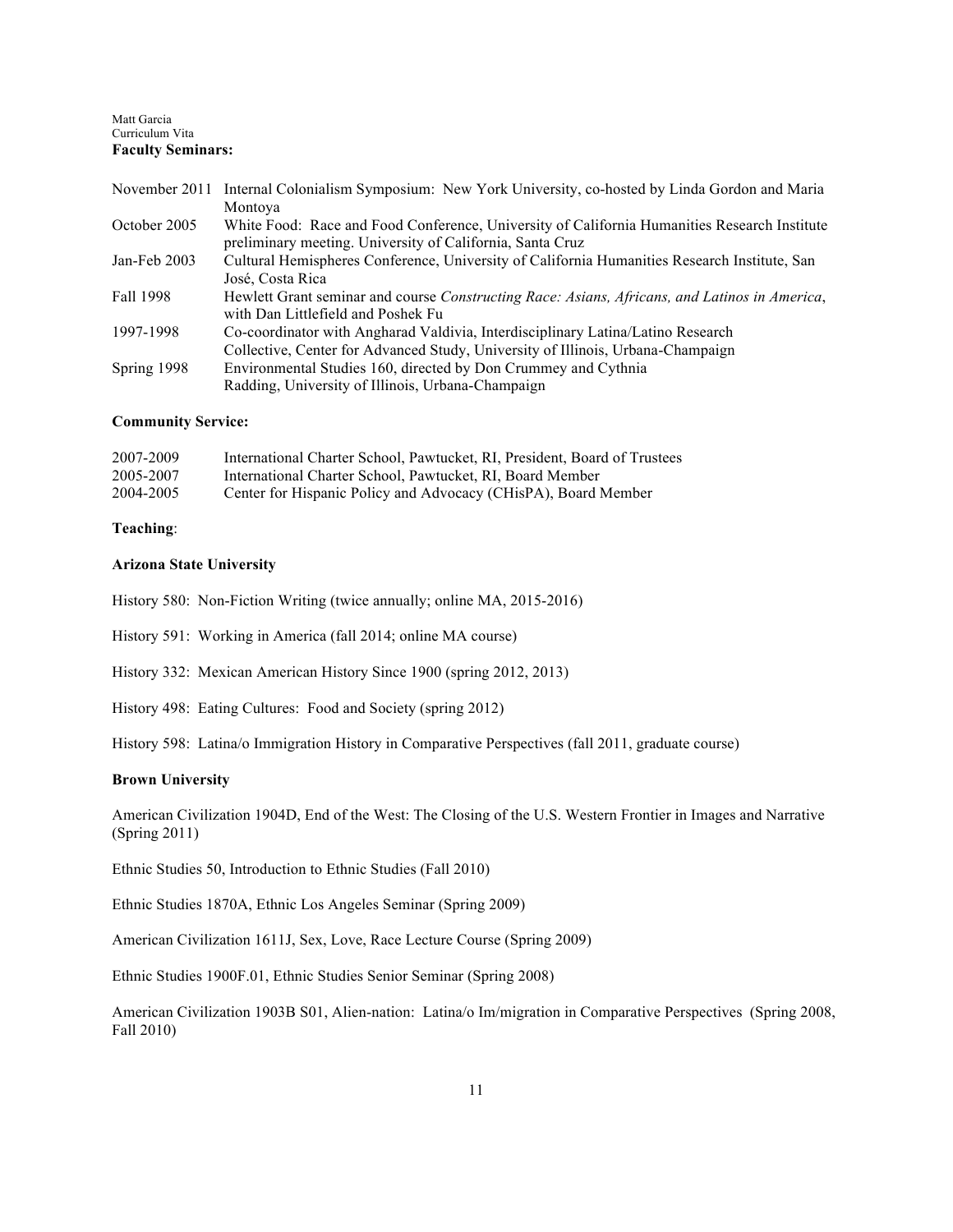#### Matt Garcia Curriculum Vita **Faculty Seminars:**

|              | November 2011 Internal Colonialism Symposium: New York University, co-hosted by Linda Gordon and Maria                                                             |
|--------------|--------------------------------------------------------------------------------------------------------------------------------------------------------------------|
|              | Montoya                                                                                                                                                            |
| October 2005 | White Food: Race and Food Conference, University of California Humanities Research Institute<br>preliminary meeting. University of California, Santa Cruz          |
| Jan-Feb 2003 | Cultural Hemispheres Conference, University of California Humanities Research Institute, San<br>José, Costa Rica                                                   |
| Fall 1998    | Hewlett Grant seminar and course Constructing Race: Asians, Africans, and Latinos in America,<br>with Dan Littlefield and Poshek Fu                                |
| 1997-1998    | Co-coordinator with Angharad Valdivia, Interdisciplinary Latina/Latino Research<br>Collective, Center for Advanced Study, University of Illinois, Urbana-Champaign |
| Spring 1998  | Environmental Studies 160, directed by Don Crummey and Cythnia<br>Radding, University of Illinois, Urbana-Champaign                                                |

### **Community Service:**

| 2007-2009 | International Charter School, Pawtucket, RI, President, Board of Trustees |
|-----------|---------------------------------------------------------------------------|
| 2005-2007 | International Charter School, Pawtucket, RI, Board Member                 |
| 2004-2005 | Center for Hispanic Policy and Advocacy (CHisPA), Board Member            |

## **Teaching**:

## **Arizona State University**

History 580: Non-Fiction Writing (twice annually; online MA, 2015-2016)

History 591: Working in America (fall 2014; online MA course)

History 332: Mexican American History Since 1900 (spring 2012, 2013)

History 498: Eating Cultures: Food and Society (spring 2012)

History 598: Latina/o Immigration History in Comparative Perspectives (fall 2011, graduate course)

## **Brown University**

American Civilization 1904D, End of the West: The Closing of the U.S. Western Frontier in Images and Narrative (Spring 2011)

Ethnic Studies 50, Introduction to Ethnic Studies (Fall 2010)

Ethnic Studies 1870A, Ethnic Los Angeles Seminar (Spring 2009)

American Civilization 1611J, Sex, Love, Race Lecture Course (Spring 2009)

Ethnic Studies 1900F.01, Ethnic Studies Senior Seminar (Spring 2008)

American Civilization 1903B S01, Alien-nation: Latina/o Im/migration in Comparative Perspectives (Spring 2008, Fall 2010)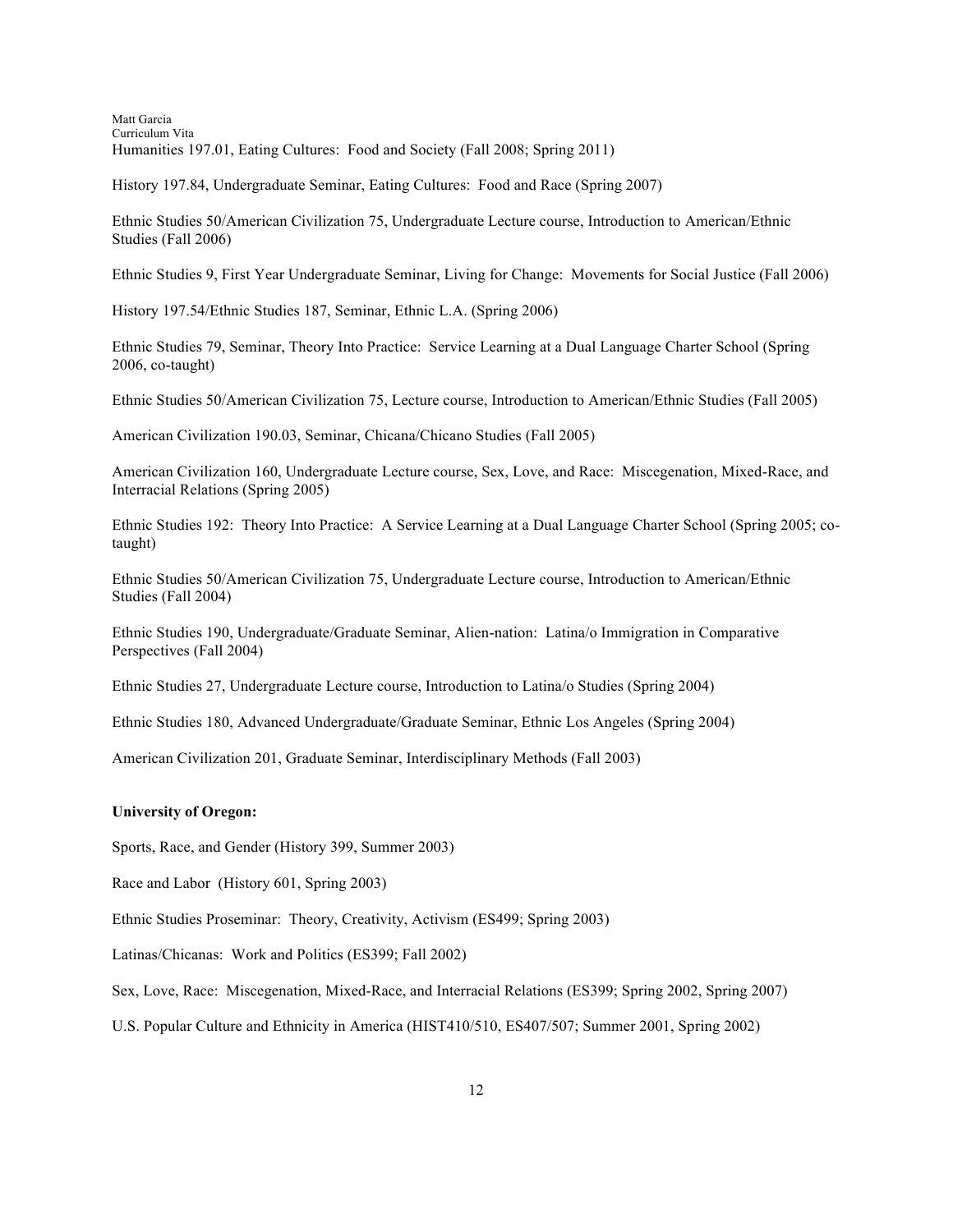Matt Garcia Curriculum Vita Humanities 197.01, Eating Cultures: Food and Society (Fall 2008; Spring 2011)

History 197.84, Undergraduate Seminar, Eating Cultures: Food and Race (Spring 2007)

Ethnic Studies 50/American Civilization 75, Undergraduate Lecture course, Introduction to American/Ethnic Studies (Fall 2006)

Ethnic Studies 9, First Year Undergraduate Seminar, Living for Change: Movements for Social Justice (Fall 2006)

History 197.54/Ethnic Studies 187, Seminar, Ethnic L.A. (Spring 2006)

Ethnic Studies 79, Seminar, Theory Into Practice: Service Learning at a Dual Language Charter School (Spring 2006, co-taught)

Ethnic Studies 50/American Civilization 75, Lecture course, Introduction to American/Ethnic Studies (Fall 2005)

American Civilization 190.03, Seminar, Chicana/Chicano Studies (Fall 2005)

American Civilization 160, Undergraduate Lecture course, Sex, Love, and Race: Miscegenation, Mixed-Race, and Interracial Relations (Spring 2005)

Ethnic Studies 192: Theory Into Practice: A Service Learning at a Dual Language Charter School (Spring 2005; cotaught)

Ethnic Studies 50/American Civilization 75, Undergraduate Lecture course, Introduction to American/Ethnic Studies (Fall 2004)

Ethnic Studies 190, Undergraduate/Graduate Seminar, Alien-nation: Latina/o Immigration in Comparative Perspectives (Fall 2004)

Ethnic Studies 27, Undergraduate Lecture course, Introduction to Latina/o Studies (Spring 2004)

Ethnic Studies 180, Advanced Undergraduate/Graduate Seminar, Ethnic Los Angeles (Spring 2004)

American Civilization 201, Graduate Seminar, Interdisciplinary Methods (Fall 2003)

### **University of Oregon:**

Sports, Race, and Gender (History 399, Summer 2003)

Race and Labor (History 601, Spring 2003)

Ethnic Studies Proseminar: Theory, Creativity, Activism (ES499; Spring 2003)

Latinas/Chicanas: Work and Politics (ES399; Fall 2002)

Sex, Love, Race: Miscegenation, Mixed-Race, and Interracial Relations (ES399; Spring 2002, Spring 2007)

U.S. Popular Culture and Ethnicity in America (HIST410/510, ES407/507; Summer 2001, Spring 2002)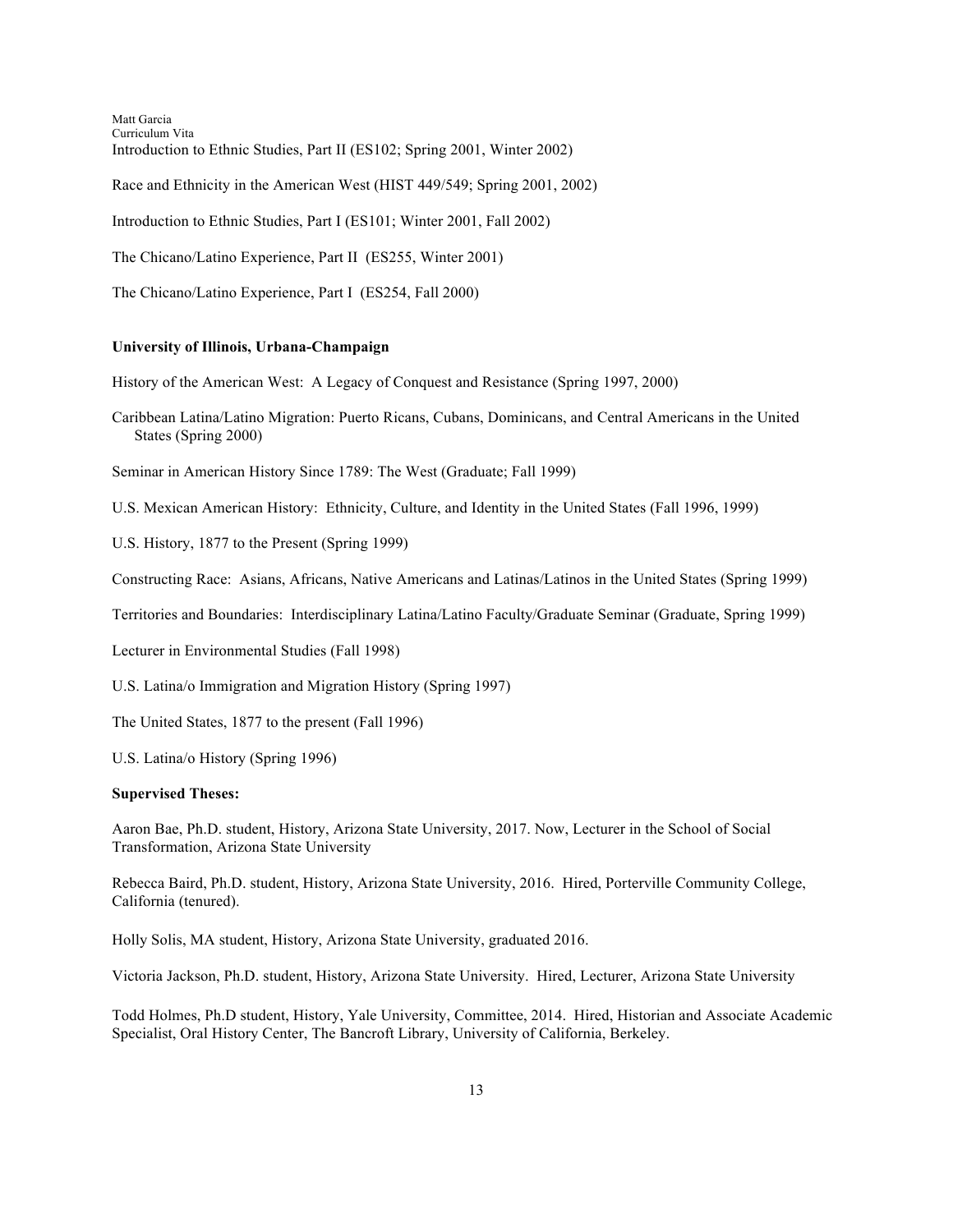Matt Garcia Curriculum Vita Introduction to Ethnic Studies, Part II (ES102; Spring 2001, Winter 2002) Race and Ethnicity in the American West (HIST 449/549; Spring 2001, 2002) Introduction to Ethnic Studies, Part I (ES101; Winter 2001, Fall 2002) The Chicano/Latino Experience, Part II (ES255, Winter 2001)

The Chicano/Latino Experience, Part I (ES254, Fall 2000)

### **University of Illinois, Urbana-Champaign**

History of the American West: A Legacy of Conquest and Resistance (Spring 1997, 2000)

Caribbean Latina/Latino Migration: Puerto Ricans, Cubans, Dominicans, and Central Americans in the United States (Spring 2000)

Seminar in American History Since 1789: The West (Graduate; Fall 1999)

U.S. Mexican American History: Ethnicity, Culture, and Identity in the United States (Fall 1996, 1999)

U.S. History, 1877 to the Present (Spring 1999)

Constructing Race: Asians, Africans, Native Americans and Latinas/Latinos in the United States (Spring 1999)

Territories and Boundaries: Interdisciplinary Latina/Latino Faculty/Graduate Seminar (Graduate, Spring 1999)

Lecturer in Environmental Studies (Fall 1998)

U.S. Latina/o Immigration and Migration History (Spring 1997)

The United States, 1877 to the present (Fall 1996)

U.S. Latina/o History (Spring 1996)

### **Supervised Theses:**

Aaron Bae, Ph.D. student, History, Arizona State University, 2017. Now, Lecturer in the School of Social Transformation, Arizona State University

Rebecca Baird, Ph.D. student, History, Arizona State University, 2016. Hired, Porterville Community College, California (tenured).

Holly Solis, MA student, History, Arizona State University, graduated 2016.

Victoria Jackson, Ph.D. student, History, Arizona State University. Hired, Lecturer, Arizona State University

Todd Holmes, Ph.D student, History, Yale University, Committee, 2014. Hired, Historian and Associate Academic Specialist, Oral History Center, The Bancroft Library, University of California, Berkeley.